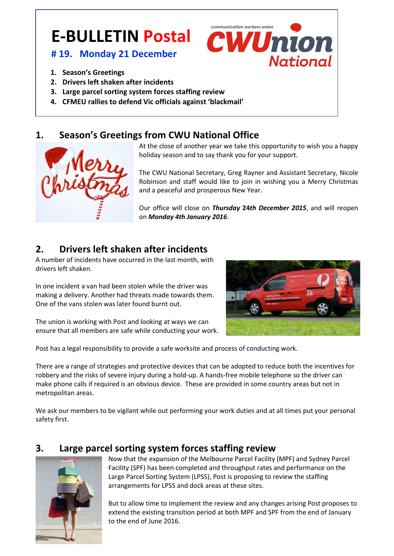# **E-BULLETIN Postal**

### **# 19. Monday 21 December**

- 
- **1. Season's Greetings 2015 2015**
- **2. Drivers left shaken after incidents**
- **3. Large parcel sorting system forces staffing review**
- **4. CFMEU rallies to defend Vic officials against 'blackmail'**

## **1. Season's Greetings from CWU National Office**

At the close of another year we take this opportunity to wish you a happy holiday season and to say thank you for your support.

communication workers union

**CWUnion** 

**National** 

The CWU National Secretary, Greg Rayner and Assistant Secretary, Nicole Robinson and staff would like to join in wishing you a Merry Christmas and a peaceful and prosperous New Year.

Our office will close on *Thursday* **24***th December 2015*, and will reopen on *Monday 4th January 2016*.

# **2. Drivers left shaken after incidents**

A number of incidents have occurred in the last month, with drivers left shaken.

In one incident a van had been stolen while the driver was making a delivery. Another had threats made towards them. One of the vans stolen was later found burnt out.

The union is working with Post and looking at ways we can ensure that all members are safe while conducting your work.



Post has a legal responsibility to provide a safe worksite and process of conducting work.

There are a range of strategies and protective devices that can be adopted to reduce both the incentives for robbery and the risks of severe injury during a hold-up. A hands-free mobile telephone so the driver can make phone calls if required is an obvious device. These are provided in some country areas but not in metropolitan areas.

We ask our members to be vigilant while out performing your work duties and at all times put your personal safety first.

## **3. Large parcel sorting system forces staffing review**



Now that the expansion of the Melbourne Parcel Facility (MPF) and Sydney Parcel Facility (SPF) has been completed and throughput rates and performance on the Large Parcel Sorting System (LPSS), Post is proposing to review the staffing arrangements for LPSS and dock areas at these sites.

But to allow time to implement the review and any changes arising Post proposes to extend the existing transition period at both MPF and SPF from the end of January to the end of June 2016.